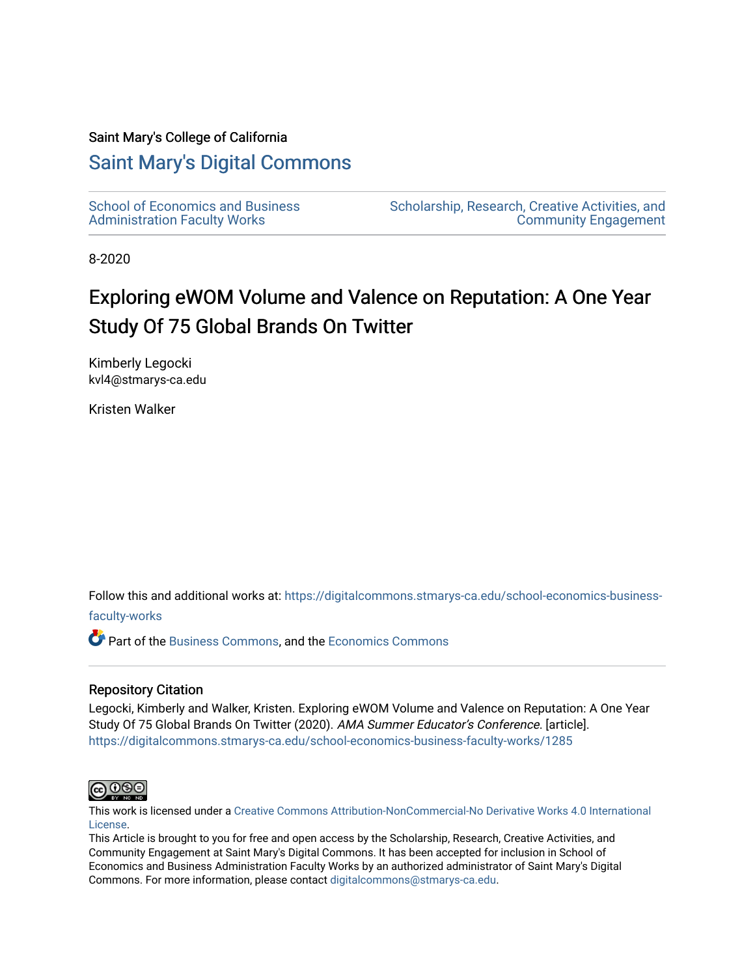#### Saint Mary's College of California

## [Saint Mary's Digital Commons](https://digitalcommons.stmarys-ca.edu/)

[School of Economics and Business](https://digitalcommons.stmarys-ca.edu/school-economics-business-faculty-works)  [Administration Faculty Works](https://digitalcommons.stmarys-ca.edu/school-economics-business-faculty-works)

[Scholarship, Research, Creative Activities, and](https://digitalcommons.stmarys-ca.edu/scholarship-research-community)  [Community Engagement](https://digitalcommons.stmarys-ca.edu/scholarship-research-community) 

8-2020

# Exploring eWOM Volume and Valence on Reputation: A One Year Study Of 75 Global Brands On Twitter

Kimberly Legocki kvl4@stmarys-ca.edu

Kristen Walker

Follow this and additional works at: [https://digitalcommons.stmarys-ca.edu/school-economics-business-](https://digitalcommons.stmarys-ca.edu/school-economics-business-faculty-works?utm_source=digitalcommons.stmarys-ca.edu%2Fschool-economics-business-faculty-works%2F1285&utm_medium=PDF&utm_campaign=PDFCoverPages)

### [faculty-works](https://digitalcommons.stmarys-ca.edu/school-economics-business-faculty-works?utm_source=digitalcommons.stmarys-ca.edu%2Fschool-economics-business-faculty-works%2F1285&utm_medium=PDF&utm_campaign=PDFCoverPages)

Part of the [Business Commons](http://network.bepress.com/hgg/discipline/622?utm_source=digitalcommons.stmarys-ca.edu%2Fschool-economics-business-faculty-works%2F1285&utm_medium=PDF&utm_campaign=PDFCoverPages), and the [Economics Commons](http://network.bepress.com/hgg/discipline/340?utm_source=digitalcommons.stmarys-ca.edu%2Fschool-economics-business-faculty-works%2F1285&utm_medium=PDF&utm_campaign=PDFCoverPages)

#### Repository Citation

Legocki, Kimberly and Walker, Kristen. Exploring eWOM Volume and Valence on Reputation: A One Year Study Of 75 Global Brands On Twitter (2020). AMA Summer Educator's Conference. [article]. [https://digitalcommons.stmarys-ca.edu/school-economics-business-faculty-works/1285](https://digitalcommons.stmarys-ca.edu/school-economics-business-faculty-works/1285?utm_source=digitalcommons.stmarys-ca.edu%2Fschool-economics-business-faculty-works%2F1285&utm_medium=PDF&utm_campaign=PDFCoverPages) 



This work is licensed under a [Creative Commons Attribution-NonCommercial-No Derivative Works 4.0 International](https://creativecommons.org/licenses/by-nc-nd/4.0/) [License.](https://creativecommons.org/licenses/by-nc-nd/4.0/)

This Article is brought to you for free and open access by the Scholarship, Research, Creative Activities, and Community Engagement at Saint Mary's Digital Commons. It has been accepted for inclusion in School of Economics and Business Administration Faculty Works by an authorized administrator of Saint Mary's Digital Commons. For more information, please contact [digitalcommons@stmarys-ca.edu](mailto:digitalcommons@stmarys-ca.edu).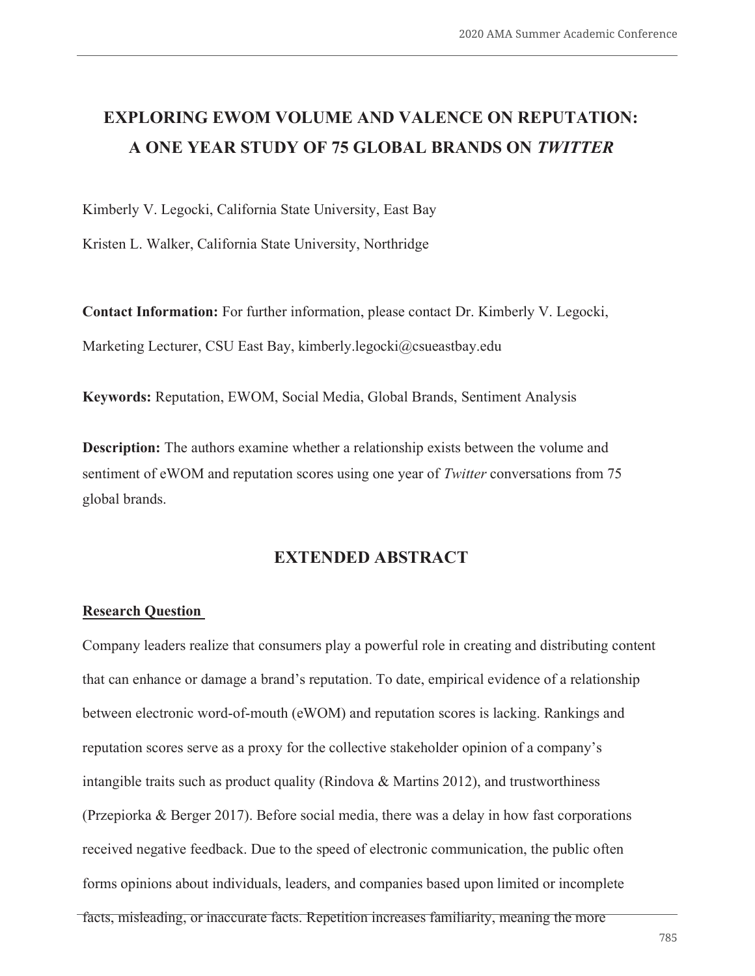## **EXPLORING EWOM VOLUME AND VALENCE ON REPUTATION: A ONE YEAR STUDY OF 75 GLOBAL BRANDS ON** *TWITTER*

Kimberly V. Legocki, California State University, East Bay

Kristen L. Walker, California State University, Northridge

**Contact Information:** For further information, please contact Dr. Kimberly V. Legocki, Marketing Lecturer, CSU East Bay, kimberly.legocki@csueastbay.edu

**Keywords:** Reputation, EWOM, Social Media, Global Brands, Sentiment Analysis

**Description:** The authors examine whether a relationship exists between the volume and sentiment of eWOM and reputation scores using one year of *Twitter* conversations from 75 global brands.

## **EXTENDED ABSTRACT**

#### **Research Question**

Company leaders realize that consumers play a powerful role in creating and distributing content that can enhance or damage a brand's reputation. To date, empirical evidence of a relationship between electronic word-of-mouth (eWOM) and reputation scores is lacking. Rankings and reputation scores serve as a proxy for the collective stakeholder opinion of a company's intangible traits such as product quality (Rindova & Martins 2012), and trustworthiness (Przepiorka & Berger 2017). Before social media, there was a delay in how fast corporations received negative feedback. Due to the speed of electronic communication, the public often forms opinions about individuals, leaders, and companies based upon limited or incomplete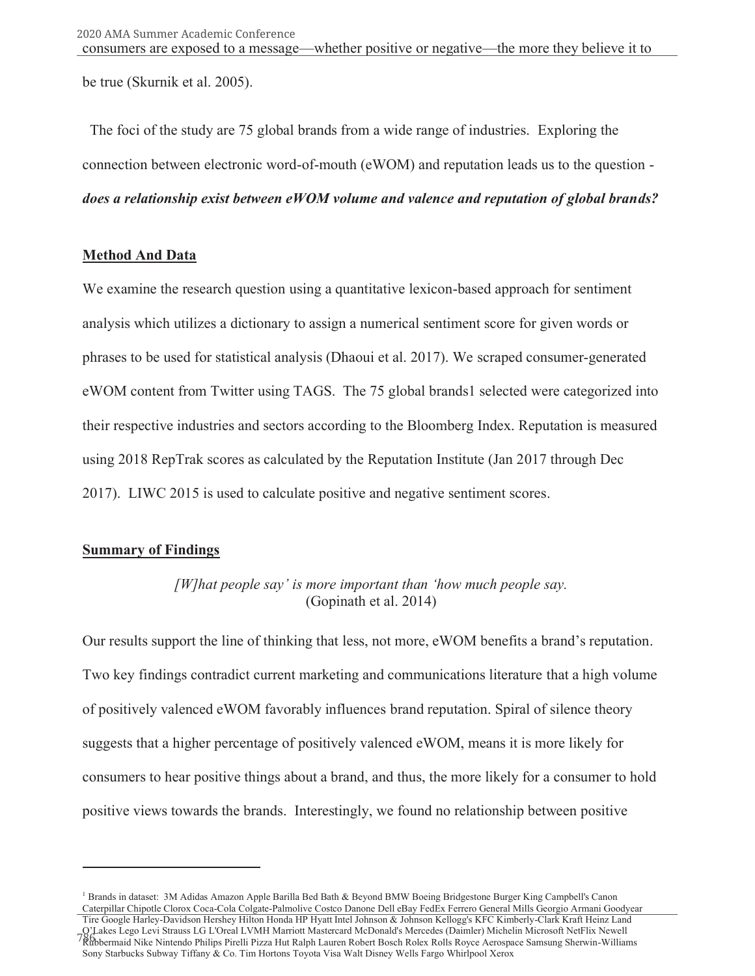be true (Skurnik et al. 2005).

 The foci of the study are 75 global brands from a wide range of industries. Exploring the connection between electronic word-of-mouth (eWOM) and reputation leads us to the question *does a relationship exist between eWOM volume and valence and reputation of global brands?* 

### **Method And Data**

We examine the research question using a quantitative lexicon-based approach for sentiment analysis which utilizes a dictionary to assign a numerical sentiment score for given words or phrases to be used for statistical analysis (Dhaoui et al. 2017). We scraped consumer-generated eWOM content from Twitter using TAGS. The 75 global brands1 selected were categorized into their respective industries and sectors according to the Bloomberg Index. Reputation is measured using 2018 RepTrak scores as calculated by the Reputation Institute (Jan 2017 through Dec 2017). LIWC 2015 is used to calculate positive and negative sentiment scores.

## **Summary of Findings**

*[W]hat people say' is more important than 'how much people say.*  (Gopinath et al. 2014)

Our results support the line of thinking that less, not more, eWOM benefits a brand's reputation. Two key findings contradict current marketing and communications literature that a high volume of positively valenced eWOM favorably influences brand reputation. Spiral of silence theory suggests that a higher percentage of positively valenced eWOM, means it is more likely for consumers to hear positive things about a brand, and thus, the more likely for a consumer to hold positive views towards the brands. Interestingly, we found no relationship between positive

<sup>&</sup>lt;sup>1</sup> Brands in dataset: 3M Adidas Amazon Apple Barilla Bed Bath & Beyond BMW Boeing Bridgestone Burger King Campbell's Canon Caterpillar Chipotle Clorox Coca-Cola Colgate-Palmolive Costco Danone Dell eBay FedEx Ferrero General Mills Georgio Armani Goodyear

Tire Google Harley-Davidson Hershey Hilton Honda HP Hyatt Intel Johnson & Johnson Kellogg's KFC Kimberly-Clark Kraft Heinz Land O'Lakes Lego Levi Strauss LG L'Oreal LVMH Marriott Mastercard McDonald's Mercedes (Daimler) Michelin Microsoft NetFlix Newell Rubbermaid Nike Nintendo Philips Pirelli Pizza Hut Ralph Lauren Robert Bosch Rolex Rolls Royce Aerospace Samsung Sherwin-Williams Sony Starbucks Subway Tiffany & Co. Tim Hortons Toyota Visa Walt Disney Wells Fargo Whirlpool Xerox